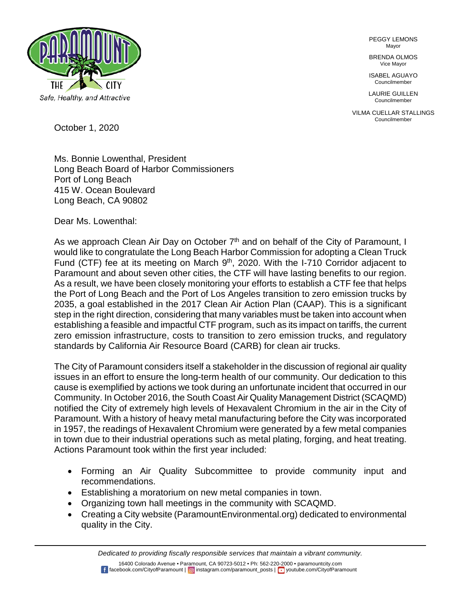

PEGGY LEMONS Mayor

BRENDA OLMOS Vice Mayor

ISABEL AGUAYO Councilmember

LAURIE GUILLEN Councilmember

VILMA CUELLAR STALLINGS Councilmember

October 1, 2020

Ms. Bonnie Lowenthal, President Long Beach Board of Harbor Commissioners Port of Long Beach 415 W. Ocean Boulevard Long Beach, CA 90802

Dear Ms. Lowenthal:

As we approach Clean Air Day on October 7<sup>th</sup> and on behalf of the City of Paramount, I would like to congratulate the Long Beach Harbor Commission for adopting a Clean Truck Fund (CTF) fee at its meeting on March 9<sup>th</sup>, 2020. With the I-710 Corridor adjacent to Paramount and about seven other cities, the CTF will have lasting benefits to our region. As a result, we have been closely monitoring your efforts to establish a CTF fee that helps the Port of Long Beach and the Port of Los Angeles transition to zero emission trucks by 2035, a goal established in the 2017 Clean Air Action Plan (CAAP). This is a significant step in the right direction, considering that many variables must be taken into account when establishing a feasible and impactful CTF program, such as its impact on tariffs, the current zero emission infrastructure, costs to transition to zero emission trucks, and regulatory standards by California Air Resource Board (CARB) for clean air trucks.

The City of Paramount considers itself a stakeholder in the discussion of regional air quality issues in an effort to ensure the long-term health of our community. Our dedication to this cause is exemplified by actions we took during an unfortunate incident that occurred in our Community. In October 2016, the South Coast Air Quality Management District (SCAQMD) notified the City of extremely high levels of Hexavalent Chromium in the air in the City of Paramount. With a history of heavy metal manufacturing before the City was incorporated in 1957, the readings of Hexavalent Chromium were generated by a few metal companies in town due to their industrial operations such as metal plating, forging, and heat treating. Actions Paramount took within the first year included:

- Forming an Air Quality Subcommittee to provide community input and recommendations.
- Establishing a moratorium on new metal companies in town.
- Organizing town hall meetings in the community with SCAQMD.
- Creating a City website (ParamountEnvironmental.org) dedicated to environmental quality in the City.